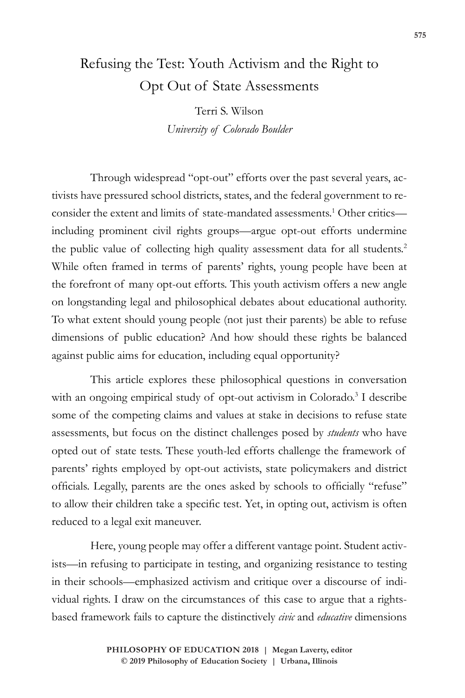## Refusing the Test: Youth Activism and the Right to Opt Out of State Assessments

Terri S. Wilson *University of Colorado Boulder*

Through widespread "opt-out" efforts over the past several years, activists have pressured school districts, states, and the federal government to reconsider the extent and limits of state-mandated assessments.<sup>1</sup> Other criticsincluding prominent civil rights groups—argue opt-out efforts undermine the public value of collecting high quality assessment data for all students.2 While often framed in terms of parents' rights, young people have been at the forefront of many opt-out efforts. This youth activism offers a new angle on longstanding legal and philosophical debates about educational authority. To what extent should young people (not just their parents) be able to refuse dimensions of public education? And how should these rights be balanced against public aims for education, including equal opportunity?

This article explores these philosophical questions in conversation with an ongoing empirical study of opt-out activism in Colorado.<sup>3</sup> I describe some of the competing claims and values at stake in decisions to refuse state assessments, but focus on the distinct challenges posed by *students* who have opted out of state tests. These youth-led efforts challenge the framework of parents' rights employed by opt-out activists, state policymakers and district officials. Legally, parents are the ones asked by schools to officially "refuse" to allow their children take a specific test. Yet, in opting out, activism is often reduced to a legal exit maneuver.

Here, young people may offer a different vantage point. Student activists—in refusing to participate in testing, and organizing resistance to testing in their schools—emphasized activism and critique over a discourse of individual rights. I draw on the circumstances of this case to argue that a rightsbased framework fails to capture the distinctively *civic* and *educative* dimensions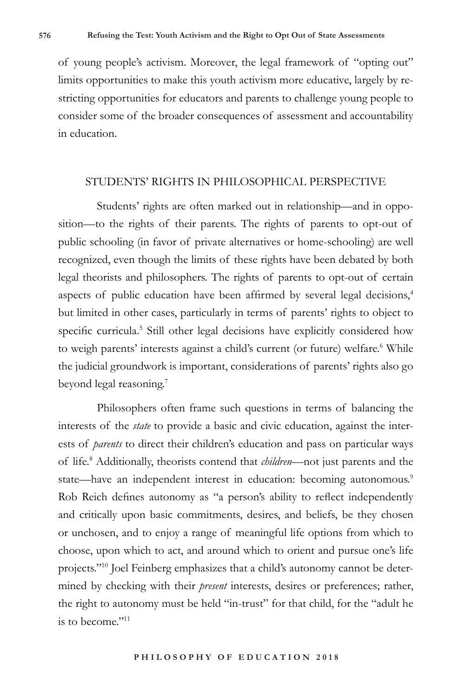of young people's activism. Moreover, the legal framework of "opting out" limits opportunities to make this youth activism more educative, largely by restricting opportunities for educators and parents to challenge young people to consider some of the broader consequences of assessment and accountability in education.

## STUDENTS' RIGHTS IN PHILOSOPHICAL PERSPECTIVE

Students' rights are often marked out in relationship—and in opposition—to the rights of their parents. The rights of parents to opt-out of public schooling (in favor of private alternatives or home-schooling) are well recognized, even though the limits of these rights have been debated by both legal theorists and philosophers. The rights of parents to opt-out of certain aspects of public education have been affirmed by several legal decisions,<sup>4</sup> but limited in other cases, particularly in terms of parents' rights to object to specific curricula.<sup>5</sup> Still other legal decisions have explicitly considered how to weigh parents' interests against a child's current (or future) welfare.<sup>6</sup> While the judicial groundwork is important, considerations of parents' rights also go beyond legal reasoning.<sup>7</sup>

Philosophers often frame such questions in terms of balancing the interests of the *state* to provide a basic and civic education, against the interests of *parents* to direct their children's education and pass on particular ways of life.8 Additionally, theorists contend that *children*—not just parents and the state—have an independent interest in education: becoming autonomous.<sup>9</sup> Rob Reich defines autonomy as "a person's ability to reflect independently and critically upon basic commitments, desires, and beliefs, be they chosen or unchosen, and to enjoy a range of meaningful life options from which to choose, upon which to act, and around which to orient and pursue one's life projects."10 Joel Feinberg emphasizes that a child's autonomy cannot be determined by checking with their *present* interests, desires or preferences; rather, the right to autonomy must be held "in-trust" for that child, for the "adult he is to become."<sup>11</sup>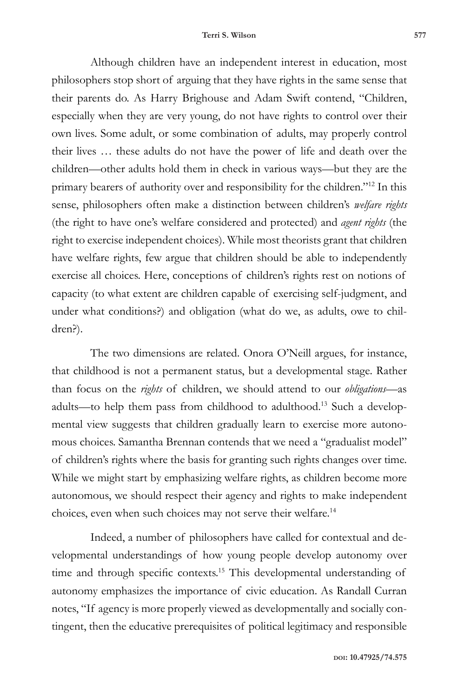Although children have an independent interest in education, most philosophers stop short of arguing that they have rights in the same sense that their parents do. As Harry Brighouse and Adam Swift contend, "Children, especially when they are very young, do not have rights to control over their own lives. Some adult, or some combination of adults, may properly control their lives … these adults do not have the power of life and death over the children—other adults hold them in check in various ways—but they are the primary bearers of authority over and responsibility for the children."12 In this sense, philosophers often make a distinction between children's *welfare rights* (the right to have one's welfare considered and protected) and *agent rights* (the right to exercise independent choices). While most theorists grant that children have welfare rights, few argue that children should be able to independently exercise all choices. Here, conceptions of children's rights rest on notions of capacity (to what extent are children capable of exercising self-judgment, and under what conditions?) and obligation (what do we, as adults, owe to children?).

The two dimensions are related. Onora O'Neill argues, for instance, that childhood is not a permanent status, but a developmental stage. Rather than focus on the *rights* of children, we should attend to our *obligations*—as adults—to help them pass from childhood to adulthood.13 Such a developmental view suggests that children gradually learn to exercise more autonomous choices. Samantha Brennan contends that we need a "gradualist model" of children's rights where the basis for granting such rights changes over time. While we might start by emphasizing welfare rights, as children become more autonomous, we should respect their agency and rights to make independent choices, even when such choices may not serve their welfare.14

Indeed, a number of philosophers have called for contextual and developmental understandings of how young people develop autonomy over time and through specific contexts.15 This developmental understanding of autonomy emphasizes the importance of civic education. As Randall Curran notes, "If agency is more properly viewed as developmentally and socially contingent, then the educative prerequisites of political legitimacy and responsible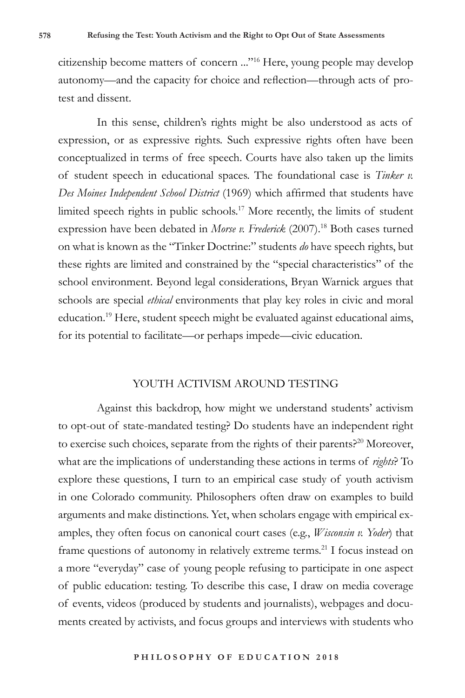citizenship become matters of concern ..."16 Here, young people may develop autonomy—and the capacity for choice and reflection—through acts of protest and dissent.

In this sense, children's rights might be also understood as acts of expression, or as expressive rights. Such expressive rights often have been conceptualized in terms of free speech. Courts have also taken up the limits of student speech in educational spaces. The foundational case is *Tinker v. Des Moines Independent School District* (1969) which affirmed that students have limited speech rights in public schools.17 More recently, the limits of student expression have been debated in *Morse v. Frederick* (2007).18 Both cases turned on what is known as the "Tinker Doctrine:" students *do* have speech rights, but these rights are limited and constrained by the "special characteristics" of the school environment. Beyond legal considerations, Bryan Warnick argues that schools are special *ethical* environments that play key roles in civic and moral education.19 Here, student speech might be evaluated against educational aims, for its potential to facilitate—or perhaps impede—civic education.

## YOUTH ACTIVISM AROUND TESTING

Against this backdrop, how might we understand students' activism to opt-out of state-mandated testing? Do students have an independent right to exercise such choices, separate from the rights of their parents.<sup>20</sup> Moreover, what are the implications of understanding these actions in terms of *rights*? To explore these questions, I turn to an empirical case study of youth activism in one Colorado community. Philosophers often draw on examples to build arguments and make distinctions. Yet, when scholars engage with empirical examples, they often focus on canonical court cases (e.g., *Wisconsin v. Yoder*) that frame questions of autonomy in relatively extreme terms.21 I focus instead on a more "everyday" case of young people refusing to participate in one aspect of public education: testing. To describe this case, I draw on media coverage of events, videos (produced by students and journalists), webpages and documents created by activists, and focus groups and interviews with students who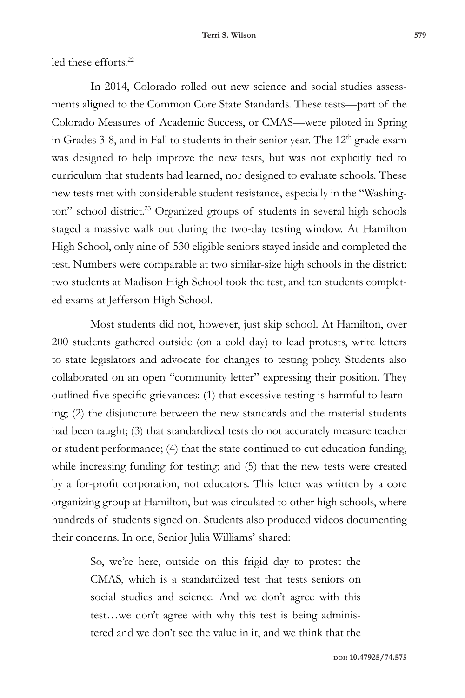led these efforts.<sup>22</sup>

In 2014, Colorado rolled out new science and social studies assessments aligned to the Common Core State Standards. These tests—part of the Colorado Measures of Academic Success, or CMAS—were piloted in Spring in Grades 3-8, and in Fall to students in their senior year. The 12<sup>th</sup> grade exam was designed to help improve the new tests, but was not explicitly tied to curriculum that students had learned, nor designed to evaluate schools. These new tests met with considerable student resistance, especially in the "Washington" school district.<sup>23</sup> Organized groups of students in several high schools staged a massive walk out during the two-day testing window. At Hamilton High School, only nine of 530 eligible seniors stayed inside and completed the test. Numbers were comparable at two similar-size high schools in the district: two students at Madison High School took the test, and ten students completed exams at Jefferson High School.

Most students did not, however, just skip school. At Hamilton, over 200 students gathered outside (on a cold day) to lead protests, write letters to state legislators and advocate for changes to testing policy. Students also collaborated on an open "community letter" expressing their position. They outlined five specific grievances: (1) that excessive testing is harmful to learning; (2) the disjuncture between the new standards and the material students had been taught; (3) that standardized tests do not accurately measure teacher or student performance; (4) that the state continued to cut education funding, while increasing funding for testing; and (5) that the new tests were created by a for-profit corporation, not educators. This letter was written by a core organizing group at Hamilton, but was circulated to other high schools, where hundreds of students signed on. Students also produced videos documenting their concerns. In one, Senior Julia Williams' shared:

> So, we're here, outside on this frigid day to protest the CMAS, which is a standardized test that tests seniors on social studies and science. And we don't agree with this test…we don't agree with why this test is being administered and we don't see the value in it, and we think that the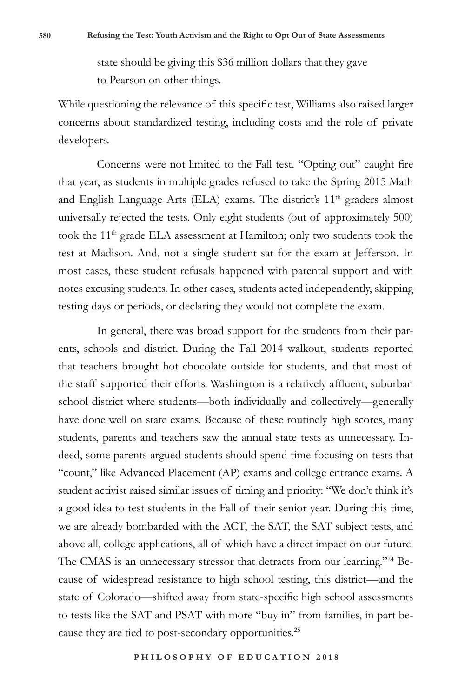state should be giving this \$36 million dollars that they gave to Pearson on other things.

While questioning the relevance of this specific test, Williams also raised larger concerns about standardized testing, including costs and the role of private developers.

Concerns were not limited to the Fall test. "Opting out" caught fire that year, as students in multiple grades refused to take the Spring 2015 Math and English Language Arts (ELA) exams. The district's 11<sup>th</sup> graders almost universally rejected the tests. Only eight students (out of approximately 500) took the 11<sup>th</sup> grade ELA assessment at Hamilton; only two students took the test at Madison. And, not a single student sat for the exam at Jefferson. In most cases, these student refusals happened with parental support and with notes excusing students. In other cases, students acted independently, skipping testing days or periods, or declaring they would not complete the exam.

In general, there was broad support for the students from their parents, schools and district. During the Fall 2014 walkout, students reported that teachers brought hot chocolate outside for students, and that most of the staff supported their efforts. Washington is a relatively affluent, suburban school district where students—both individually and collectively—generally have done well on state exams. Because of these routinely high scores, many students, parents and teachers saw the annual state tests as unnecessary. Indeed, some parents argued students should spend time focusing on tests that "count," like Advanced Placement (AP) exams and college entrance exams. A student activist raised similar issues of timing and priority: "We don't think it's a good idea to test students in the Fall of their senior year. During this time, we are already bombarded with the ACT, the SAT, the SAT subject tests, and above all, college applications, all of which have a direct impact on our future. The CMAS is an unnecessary stressor that detracts from our learning."<sup>24</sup> Because of widespread resistance to high school testing, this district—and the state of Colorado—shifted away from state-specific high school assessments to tests like the SAT and PSAT with more "buy in" from families, in part because they are tied to post-secondary opportunities.<sup>25</sup>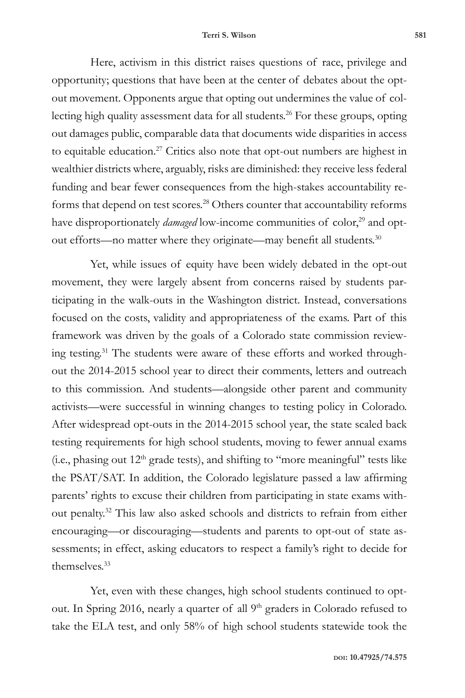Here, activism in this district raises questions of race, privilege and opportunity; questions that have been at the center of debates about the optout movement. Opponents argue that opting out undermines the value of collecting high quality assessment data for all students.26 For these groups, opting out damages public, comparable data that documents wide disparities in access to equitable education.27 Critics also note that opt-out numbers are highest in wealthier districts where, arguably, risks are diminished: they receive less federal funding and bear fewer consequences from the high-stakes accountability reforms that depend on test scores.<sup>28</sup> Others counter that accountability reforms have disproportionately *damaged* low-income communities of color,<sup>29</sup> and optout efforts—no matter where they originate—may benefit all students.<sup>30</sup>

Yet, while issues of equity have been widely debated in the opt-out movement, they were largely absent from concerns raised by students participating in the walk-outs in the Washington district. Instead, conversations focused on the costs, validity and appropriateness of the exams. Part of this framework was driven by the goals of a Colorado state commission reviewing testing.<sup>31</sup> The students were aware of these efforts and worked throughout the 2014-2015 school year to direct their comments, letters and outreach to this commission. And students—alongside other parent and community activists—were successful in winning changes to testing policy in Colorado. After widespread opt-outs in the 2014-2015 school year, the state scaled back testing requirements for high school students, moving to fewer annual exams (i.e., phasing out  $12<sup>th</sup>$  grade tests), and shifting to "more meaningful" tests like the PSAT/SAT. In addition, the Colorado legislature passed a law affirming parents' rights to excuse their children from participating in state exams without penalty.32 This law also asked schools and districts to refrain from either encouraging—or discouraging—students and parents to opt-out of state assessments; in effect, asking educators to respect a family's right to decide for themselves.33

Yet, even with these changes, high school students continued to optout. In Spring 2016, nearly a quarter of all <sup>9th</sup> graders in Colorado refused to take the ELA test, and only 58% of high school students statewide took the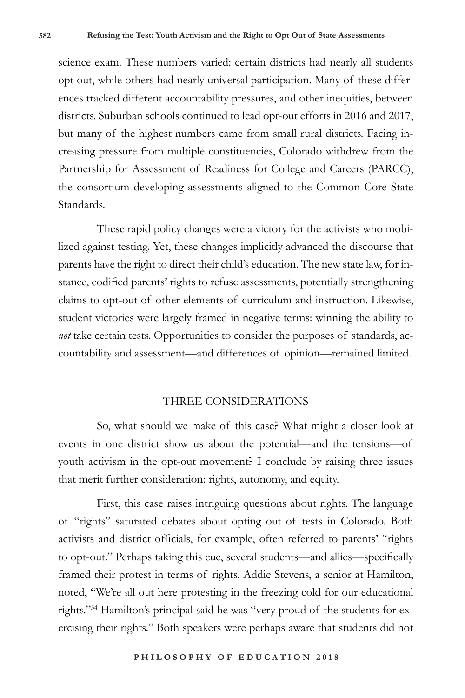science exam. These numbers varied: certain districts had nearly all students opt out, while others had nearly universal participation. Many of these differences tracked different accountability pressures, and other inequities, between districts. Suburban schools continued to lead opt-out efforts in 2016 and 2017, but many of the highest numbers came from small rural districts. Facing increasing pressure from multiple constituencies, Colorado withdrew from the Partnership for Assessment of Readiness for College and Careers (PARCC), the consortium developing assessments aligned to the Common Core State Standards.

These rapid policy changes were a victory for the activists who mobilized against testing. Yet, these changes implicitly advanced the discourse that parents have the right to direct their child's education. The new state law, for instance, codified parents' rights to refuse assessments, potentially strengthening claims to opt-out of other elements of curriculum and instruction. Likewise, student victories were largely framed in negative terms: winning the ability to *not* take certain tests. Opportunities to consider the purposes of standards, accountability and assessment—and differences of opinion—remained limited.

## THREE CONSIDERATIONS

So, what should we make of this case? What might a closer look at events in one district show us about the potential—and the tensions—of youth activism in the opt-out movement? I conclude by raising three issues that merit further consideration: rights, autonomy, and equity.

First, this case raises intriguing questions about rights. The language of "rights" saturated debates about opting out of tests in Colorado. Both activists and district officials, for example, often referred to parents' "rights to opt-out." Perhaps taking this cue, several students—and allies—specifically framed their protest in terms of rights. Addie Stevens, a senior at Hamilton, noted, "We're all out here protesting in the freezing cold for our educational rights."34 Hamilton's principal said he was "very proud of the students for exercising their rights." Both speakers were perhaps aware that students did not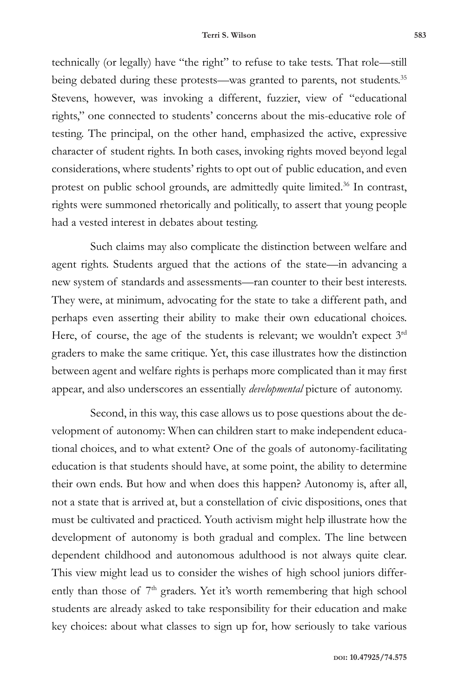technically (or legally) have "the right" to refuse to take tests. That role—still being debated during these protests—was granted to parents, not students.<sup>35</sup> Stevens, however, was invoking a different, fuzzier, view of "educational rights," one connected to students' concerns about the mis-educative role of testing. The principal, on the other hand, emphasized the active, expressive character of student rights. In both cases, invoking rights moved beyond legal considerations, where students' rights to opt out of public education, and even protest on public school grounds, are admittedly quite limited.<sup>36</sup> In contrast, rights were summoned rhetorically and politically, to assert that young people had a vested interest in debates about testing.

Such claims may also complicate the distinction between welfare and agent rights. Students argued that the actions of the state—in advancing a new system of standards and assessments—ran counter to their best interests. They were, at minimum, advocating for the state to take a different path, and perhaps even asserting their ability to make their own educational choices. Here, of course, the age of the students is relevant; we wouldn't expect  $3<sup>rd</sup>$ graders to make the same critique. Yet, this case illustrates how the distinction between agent and welfare rights is perhaps more complicated than it may first appear, and also underscores an essentially *developmental* picture of autonomy.

Second, in this way, this case allows us to pose questions about the development of autonomy: When can children start to make independent educational choices, and to what extent? One of the goals of autonomy-facilitating education is that students should have, at some point, the ability to determine their own ends. But how and when does this happen? Autonomy is, after all, not a state that is arrived at, but a constellation of civic dispositions, ones that must be cultivated and practiced. Youth activism might help illustrate how the development of autonomy is both gradual and complex. The line between dependent childhood and autonomous adulthood is not always quite clear. This view might lead us to consider the wishes of high school juniors differently than those of  $7<sup>th</sup>$  graders. Yet it's worth remembering that high school students are already asked to take responsibility for their education and make key choices: about what classes to sign up for, how seriously to take various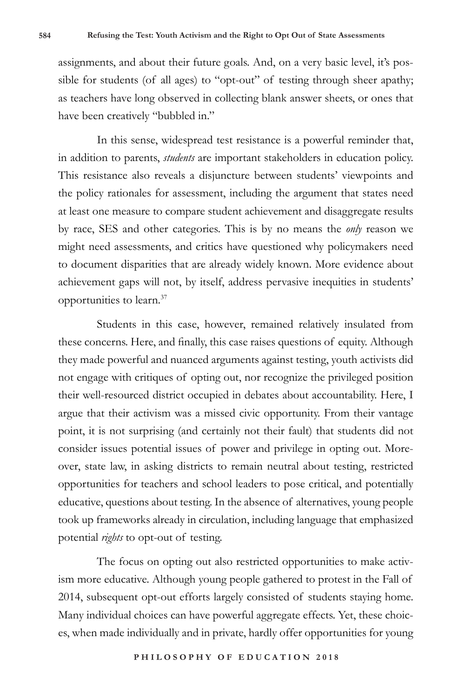assignments, and about their future goals. And, on a very basic level, it's possible for students (of all ages) to "opt-out" of testing through sheer apathy; as teachers have long observed in collecting blank answer sheets, or ones that have been creatively "bubbled in."

In this sense, widespread test resistance is a powerful reminder that, in addition to parents, *students* are important stakeholders in education policy. This resistance also reveals a disjuncture between students' viewpoints and the policy rationales for assessment, including the argument that states need at least one measure to compare student achievement and disaggregate results by race, SES and other categories. This is by no means the *only* reason we might need assessments, and critics have questioned why policymakers need to document disparities that are already widely known. More evidence about achievement gaps will not, by itself, address pervasive inequities in students' opportunities to learn.37

Students in this case, however, remained relatively insulated from these concerns. Here, and finally, this case raises questions of equity. Although they made powerful and nuanced arguments against testing, youth activists did not engage with critiques of opting out, nor recognize the privileged position their well-resourced district occupied in debates about accountability. Here, I argue that their activism was a missed civic opportunity. From their vantage point, it is not surprising (and certainly not their fault) that students did not consider issues potential issues of power and privilege in opting out. Moreover, state law, in asking districts to remain neutral about testing, restricted opportunities for teachers and school leaders to pose critical, and potentially educative, questions about testing. In the absence of alternatives, young people took up frameworks already in circulation, including language that emphasized potential *rights* to opt-out of testing.

The focus on opting out also restricted opportunities to make activism more educative. Although young people gathered to protest in the Fall of 2014, subsequent opt-out efforts largely consisted of students staying home. Many individual choices can have powerful aggregate effects. Yet, these choices, when made individually and in private, hardly offer opportunities for young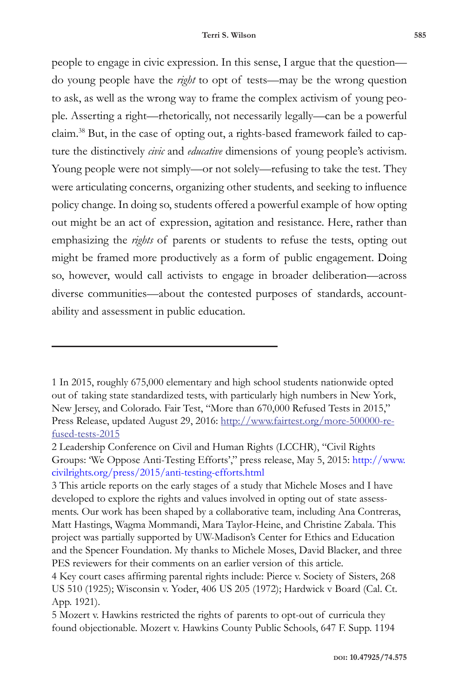people to engage in civic expression. In this sense, I argue that the question do young people have the *right* to opt of tests—may be the wrong question to ask, as well as the wrong way to frame the complex activism of young people. Asserting a right—rhetorically, not necessarily legally—can be a powerful claim.38 But, in the case of opting out, a rights-based framework failed to capture the distinctively *civic* and *educative* dimensions of young people's activism. Young people were not simply—or not solely—refusing to take the test. They were articulating concerns, organizing other students, and seeking to influence policy change. In doing so, students offered a powerful example of how opting out might be an act of expression, agitation and resistance. Here, rather than emphasizing the *rights* of parents or students to refuse the tests, opting out might be framed more productively as a form of public engagement. Doing so, however, would call activists to engage in broader deliberation—across diverse communities—about the contested purposes of standards, accountability and assessment in public education.

<sup>1</sup> In 2015, roughly 675,000 elementary and high school students nationwide opted out of taking state standardized tests, with particularly high numbers in New York, New Jersey, and Colorado. Fair Test, "More than 670,000 Refused Tests in 2015," Press Release, updated August 29, 2016: http://www.fairtest.org/more-500000-refused-tests-2015

<sup>2</sup> Leadership Conference on Civil and Human Rights (LCCHR), "Civil Rights Groups: 'We Oppose Anti-Testing Efforts'," press release, May 5, 2015: http://www. civilrights.org/press/2015/anti-testing-efforts.html

<sup>3</sup> This article reports on the early stages of a study that Michele Moses and I have developed to explore the rights and values involved in opting out of state assessments. Our work has been shaped by a collaborative team, including Ana Contreras, Matt Hastings, Wagma Mommandi, Mara Taylor-Heine, and Christine Zabala. This project was partially supported by UW-Madison's Center for Ethics and Education and the Spencer Foundation. My thanks to Michele Moses, David Blacker, and three PES reviewers for their comments on an earlier version of this article.

<sup>4</sup> Key court cases affirming parental rights include: Pierce v. Society of Sisters, 268 US 510 (1925); Wisconsin v. Yoder, 406 US 205 (1972); Hardwick v Board (Cal. Ct. App. 1921).

<sup>5</sup> Mozert v. Hawkins restricted the rights of parents to opt-out of curricula they found objectionable. Mozert v. Hawkins County Public Schools, 647 F. Supp. 1194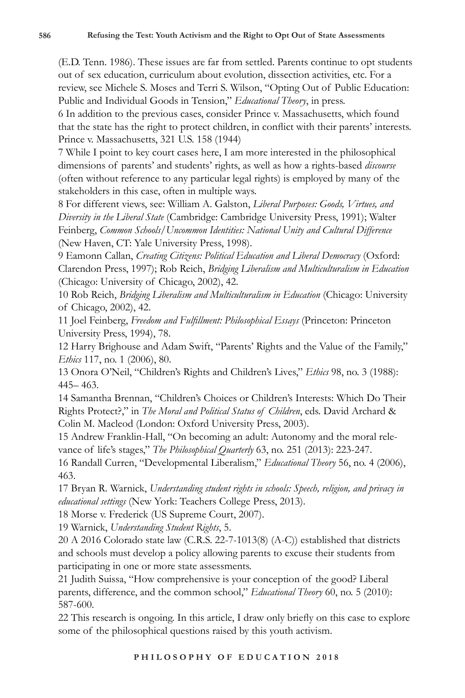(E.D. Tenn. 1986). These issues are far from settled. Parents continue to opt students out of sex education, curriculum about evolution, dissection activities, etc. For a review, see Michele S. Moses and Terri S. Wilson, "Opting Out of Public Education: Public and Individual Goods in Tension," *Educational Theory*, in press.

6 In addition to the previous cases, consider Prince v. Massachusetts, which found that the state has the right to protect children, in conflict with their parents' interests. Prince v. Massachusetts, 321 U.S. 158 (1944)

7 While I point to key court cases here, I am more interested in the philosophical dimensions of parents' and students' rights, as well as how a rights-based *discourse*  (often without reference to any particular legal rights) is employed by many of the stakeholders in this case, often in multiple ways.

8 For different views, see: William A. Galston, *Liberal Purposes: Goods, Virtues, and Diversity in the Liberal State* (Cambridge: Cambridge University Press, 1991); Walter Feinberg, *Common Schools/Uncommon Identities: National Unity and Cultural Difference* (New Haven, CT: Yale University Press, 1998).

9 Eamonn Callan, *Creating Citizens: Political Education and Liberal Democracy* (Oxford: Clarendon Press, 1997); Rob Reich, *Bridging Liberalism and Multiculturalism in Education*  (Chicago: University of Chicago, 2002), 42.

10 Rob Reich, *Bridging Liberalism and Multiculturalism in Education* (Chicago: University of Chicago, 2002), 42.

11 Joel Feinberg, *Freedom and Fulfillment: Philosophical Essays* (Princeton: Princeton University Press, 1994), 78.

12 Harry Brighouse and Adam Swift, "Parents' Rights and the Value of the Family," *Ethics* 117, no. 1 (2006), 80.

13 Onora O'Neil, "Children's Rights and Children's Lives," *Ethics* 98, no. 3 (1988): 445– 463.

14 Samantha Brennan, "Children's Choices or Children's Interests: Which Do Their Rights Protect?," in *The Moral and Political Status of Children*, eds. David Archard & Colin M. Macleod (London: Oxford University Press, 2003).

15 Andrew Franklin-Hall, "On becoming an adult: Autonomy and the moral relevance of life's stages," *The Philosophical Quarterly* 63, no. 251 (2013): 223-247.

16 Randall Curren, "Developmental Liberalism," *Educational Theory* 56, no. 4 (2006), 463.

17 Bryan R. Warnick, *Understanding student rights in schools: Speech, religion, and privacy in educational settings* (New York: Teachers College Press, 2013).

18 Morse v. Frederick (US Supreme Court, 2007).

19 Warnick, *Understanding Student Rights*, 5.

20 A 2016 Colorado state law (C.R.S. 22-7-1013(8) (A-C)) established that districts and schools must develop a policy allowing parents to excuse their students from participating in one or more state assessments.

21 Judith Suissa, "How comprehensive is your conception of the good? Liberal parents, difference, and the common school," *Educational Theory* 60, no. 5 (2010): 587-600.

22 This research is ongoing. In this article, I draw only briefly on this case to explore some of the philosophical questions raised by this youth activism.